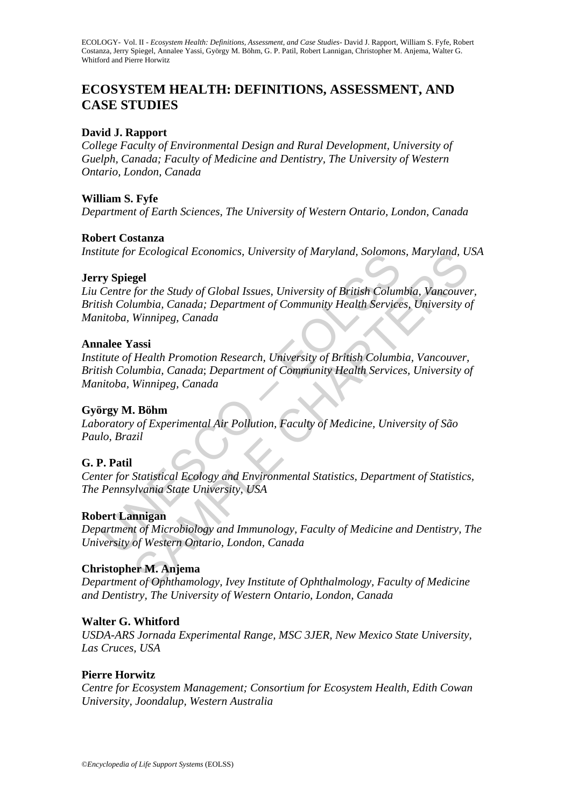# **ECOSYSTEM HEALTH: DEFINITIONS, ASSESSMENT, AND CASE STUDIES**

### **David J. Rapport**

*College Faculty of Environmental Design and Rural Development, University of Guelph, Canada; Faculty of Medicine and Dentistry, The University of Western Ontario, London, Canada* 

### **William S. Fyfe**

*Department of Earth Sciences, The University of Western Ontario, London, Canada* 

#### **Robert Costanza**

*Institute for Ecological Economics, University of Maryland, Solomons, Maryland, USA* 

#### **Jerry Spiegel**

ntale for Ecological Economics, University of Maryland, Solomon.<br>
The Spiegel<br>
Centre for the Study of Global Issues, University of British Colum<br>
Sish Columbia, Canada; Department of Community Health Service<br>
nitroba, Win r Ecological Economics, University of Marylana, Solomons, Marylana, U<br>
for the Study of Global Issues, University of British Columbia, Vancouve<br>
unnbia, Canada; Department of Community Health Services, University of<br>
Winni *Liu Centre for the Study of Global Issues, University of British Columbia, Vancouver, British Columbia, Canada; Department of Community Health Services, University of Manitoba, Winnipeg, Canada* 

#### **Annalee Yassi**

*Institute of Health Promotion Research, University of British Columbia, Vancouver, British Columbia, Canada*; *Department of Community Health Services, University of Manitoba, Winnipeg, Canada* 

#### **György M. Böhm**

*Laboratory of Experimental Air Pollution, Faculty of Medicine, University of São Paulo, Brazil* 

# **G. P. Patil**

*Center for Statistical Ecology and Environmental Statistics, Department of Statistics, The Pennsylvania State University, USA* 

#### **Robert Lannigan**

*Department of Microbiology and Immunology, Faculty of Medicine and Dentistry, The University of Western Ontario, London, Canada* 

#### **Christopher M. Anjema**

*Department of Ophthamology, Ivey Institute of Ophthalmology, Faculty of Medicine and Dentistry, The University of Western Ontario, London, Canada* 

#### **Walter G. Whitford**

*USDA-ARS Jornada Experimental Range, MSC 3JER, New Mexico State University, Las Cruces, USA* 

#### **Pierre Horwitz**

*Centre for Ecosystem Management; Consortium for Ecosystem Health, Edith Cowan University, Joondalup, Western Australia*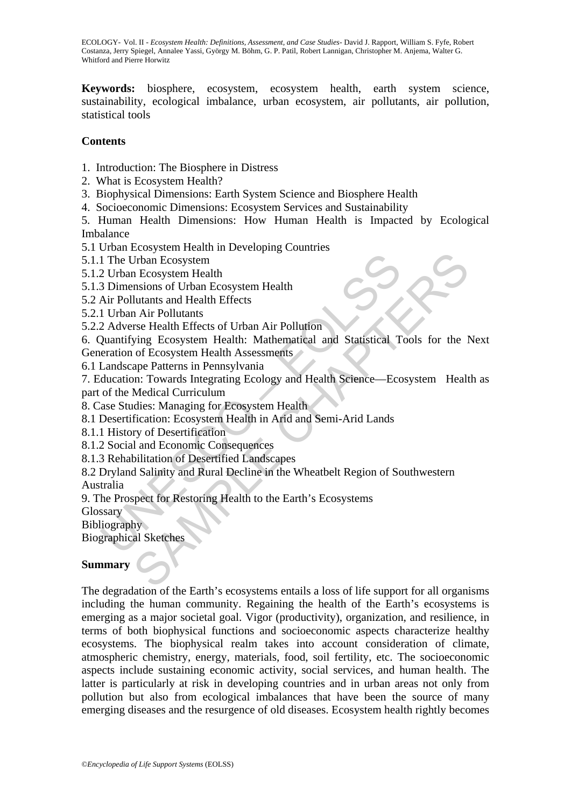**Keywords:** biosphere, ecosystem, ecosystem health, earth system science, sustainability, ecological imbalance, urban ecosystem, air pollutants, air pollution, statistical tools

### **Contents**

- 1. Introduction: The Biosphere in Distress
- 2. What is Ecosystem Health?
- 3. Biophysical Dimensions: Earth System Science and Biosphere Health
- 4. Socioeconomic Dimensions: Ecosystem Services and Sustainability

5. Human Health Dimensions: How Human Health is Impacted by Ecological Imbalance

5.1 Urban Ecosystem Health in Developing Countries

- 5.1.1 The Urban Ecosystem
- 5.1.2 Urban Ecosystem Health
- 5.1.3 Dimensions of Urban Ecosystem Health
- 5.2 Air Pollutants and Health Effects
- 5.2.1 Urban Air Pollutants

5.2.2 Adverse Health Effects of Urban Air Pollution

1 The Urban Ecosystem<br>
2 Urban Ecosystem<br>
2 Urban Ecosystem Health<br>
3 Dimensions of Urban Ecosystem Health<br>
Air Pollutants<br>
2 Adverse Health Effects of Urban Air Pollution<br>
2 Adverse Health Effects of Urban Air Pollution<br> Francisco Christmas Charles and Statistical Trip and Statistical Trip and Bookston Health<br>
Intensition Ecosystem Health<br>
Intensits and Health Effects<br>
In Air Pollutiants<br>
The University of Ecosystem Health Assessments<br>
of 6. Quantifying Ecosystem Health: Mathematical and Statistical Tools for the Next Generation of Ecosystem Health Assessments

6.1 Landscape Patterns in Pennsylvania

7. Education: Towards Integrating Ecology and Health Science—Ecosystem Health as part of the Medical Curriculum

8. Case Studies: Managing for Ecosystem Health

- 8.1 Desertification: Ecosystem Health in Arid and Semi-Arid Lands
- 8.1.1 History of Desertification
- 8.1.2 Social and Economic Consequences
- 8.1.3 Rehabilitation of Desertified Landscapes

8.2 Dryland Salinity and Rural Decline in the Wheatbelt Region of Southwestern Australia

9. The Prospect for Restoring Health to the Earth's Ecosystems

**Glossary** 

Bibliography

Biographical Sketches

# **Summary**

The degradation of the Earth's ecosystems entails a loss of life support for all organisms including the human community. Regaining the health of the Earth's ecosystems is emerging as a major societal goal. Vigor (productivity), organization, and resilience, in terms of both biophysical functions and socioeconomic aspects characterize healthy ecosystems. The biophysical realm takes into account consideration of climate, atmospheric chemistry, energy, materials, food, soil fertility, etc. The socioeconomic aspects include sustaining economic activity, social services, and human health. The latter is particularly at risk in developing countries and in urban areas not only from pollution but also from ecological imbalances that have been the source of many emerging diseases and the resurgence of old diseases. Ecosystem health rightly becomes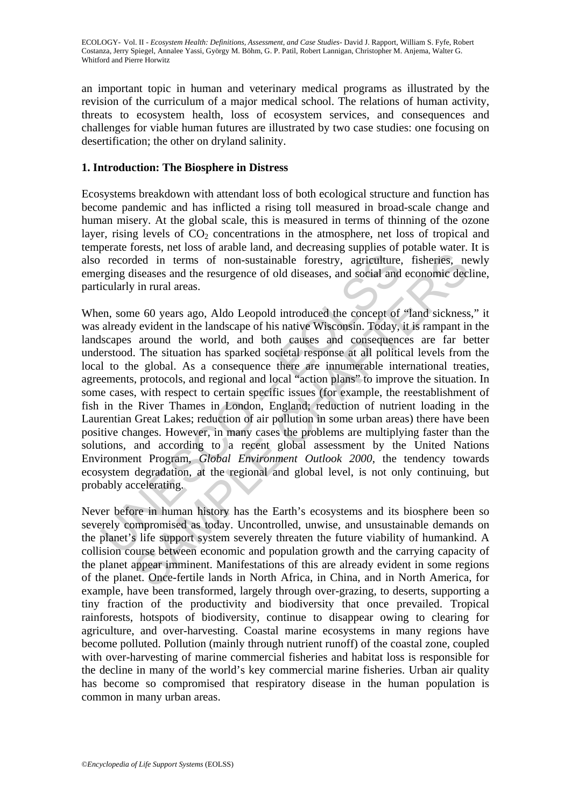an important topic in human and veterinary medical programs as illustrated by the revision of the curriculum of a major medical school. The relations of human activity, threats to ecosystem health, loss of ecosystem services, and consequences and challenges for viable human futures are illustrated by two case studies: one focusing on desertification; the other on dryland salinity.

### **1. Introduction: The Biosphere in Distress**

Ecosystems breakdown with attendant loss of both ecological structure and function has become pandemic and has inflicted a rising toll measured in broad-scale change and human misery. At the global scale, this is measured in terms of thinning of the ozone layer, rising levels of  $CO<sub>2</sub>$  concentrations in the atmosphere, net loss of tropical and temperate forests, net loss of arable land, and decreasing supplies of potable water. It is also recorded in terms of non-sustainable forestry, agriculture, fisheries, newly emerging diseases and the resurgence of old diseases, and social and economic decline, particularly in rural areas.

recorded in terms of non-sustainable forestry, arrivalure,<br>reging diseases and the resurgence of old diseases, and social and<br>icularly in rural areas.<br>en, some 60 years ago, Aldo Leopold introduced the concept of<br>already ded in terms of non-sustainable forestry, agriculture, fisheries, networks and the resurgence of old diseases, and social and economic dec in rural areas.<br>
Hiseases and the resurgence of old diseases, and social and econom When, some 60 years ago, Aldo Leopold introduced the concept of "land sickness," it was already evident in the landscape of his native Wisconsin. Today, it is rampant in the landscapes around the world, and both causes and consequences are far better understood. The situation has sparked societal response at all political levels from the local to the global. As a consequence there are innumerable international treaties, agreements, protocols, and regional and local "action plans" to improve the situation. In some cases, with respect to certain specific issues (for example, the reestablishment of fish in the River Thames in London, England; reduction of nutrient loading in the Laurentian Great Lakes; reduction of air pollution in some urban areas) there have been positive changes. However, in many cases the problems are multiplying faster than the solutions, and according to a recent global assessment by the United Nations Environment Program, *Global Environment Outlook 2000*, the tendency towards ecosystem degradation, at the regional and global level, is not only continuing, but probably accelerating.

Never before in human history has the Earth's ecosystems and its biosphere been so severely compromised as today. Uncontrolled, unwise, and unsustainable demands on the planet's life support system severely threaten the future viability of humankind. A collision course between economic and population growth and the carrying capacity of the planet appear imminent. Manifestations of this are already evident in some regions of the planet. Once-fertile lands in North Africa, in China, and in North America, for example, have been transformed, largely through over-grazing, to deserts, supporting a tiny fraction of the productivity and biodiversity that once prevailed. Tropical rainforests, hotspots of biodiversity, continue to disappear owing to clearing for agriculture, and over-harvesting. Coastal marine ecosystems in many regions have become polluted. Pollution (mainly through nutrient runoff) of the coastal zone, coupled with over-harvesting of marine commercial fisheries and habitat loss is responsible for the decline in many of the world's key commercial marine fisheries. Urban air quality has become so compromised that respiratory disease in the human population is common in many urban areas.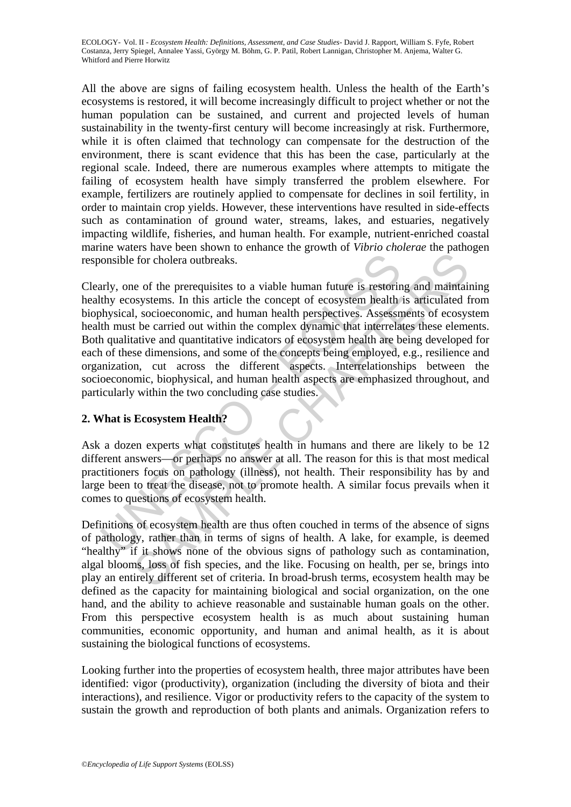All the above are signs of failing ecosystem health. Unless the health of the Earth's ecosystems is restored, it will become increasingly difficult to project whether or not the human population can be sustained, and current and projected levels of human sustainability in the twenty-first century will become increasingly at risk. Furthermore, while it is often claimed that technology can compensate for the destruction of the environment, there is scant evidence that this has been the case, particularly at the regional scale. Indeed, there are numerous examples where attempts to mitigate the failing of ecosystem health have simply transferred the problem elsewhere. For example, fertilizers are routinely applied to compensate for declines in soil fertility, in order to maintain crop yields. However, these interventions have resulted in side-effects such as contamination of ground water, streams, lakes, and estuaries, negatively impacting wildlife, fisheries, and human health. For example, nutrient-enriched coastal marine waters have been shown to enhance the growth of *Vibrio cholerae* the pathogen responsible for cholera outbreaks.

onsible for cholera outbreaks.<br>
and the prerequisites to a viable human future is restorinty thy ecosystems. In this article the concept of ecosystem health<br>
thy ecosystems. In this article the concept of ecosystem health<br> For cholera outbreaks.<br>
and the precequisites to a viable human future is restoring and maintain<br>
systems. In this article the concept of cocaystem health is articulated f<br>
1, socioeconomic, and human health perspectives. Clearly, one of the prerequisites to a viable human future is restoring and maintaining healthy ecosystems. In this article the concept of ecosystem health is articulated from biophysical, socioeconomic, and human health perspectives. Assessments of ecosystem health must be carried out within the complex dynamic that interrelates these elements. Both qualitative and quantitative indicators of ecosystem health are being developed for each of these dimensions, and some of the concepts being employed, e.g., resilience and organization, cut across the different aspects. Interrelationships between the socioeconomic, biophysical, and human health aspects are emphasized throughout, and particularly within the two concluding case studies.

# **2. What is Ecosystem Health?**

Ask a dozen experts what constitutes health in humans and there are likely to be 12 different answers—or perhaps no answer at all. The reason for this is that most medical practitioners focus on pathology (illness), not health. Their responsibility has by and large been to treat the disease, not to promote health. A similar focus prevails when it comes to questions of ecosystem health.

Definitions of ecosystem health are thus often couched in terms of the absence of signs of pathology, rather than in terms of signs of health. A lake, for example, is deemed "healthy" if it shows none of the obvious signs of pathology such as contamination, algal blooms, loss of fish species, and the like. Focusing on health, per se, brings into play an entirely different set of criteria. In broad-brush terms, ecosystem health may be defined as the capacity for maintaining biological and social organization, on the one hand, and the ability to achieve reasonable and sustainable human goals on the other. From this perspective ecosystem health is as much about sustaining human communities, economic opportunity, and human and animal health, as it is about sustaining the biological functions of ecosystems.

Looking further into the properties of ecosystem health, three major attributes have been identified: vigor (productivity), organization (including the diversity of biota and their interactions), and resilience. Vigor or productivity refers to the capacity of the system to sustain the growth and reproduction of both plants and animals. Organization refers to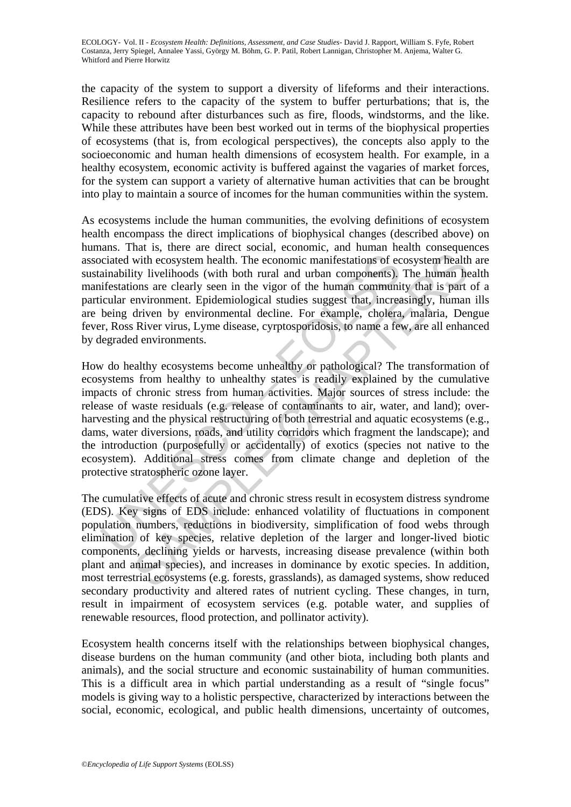the capacity of the system to support a diversity of lifeforms and their interactions. Resilience refers to the capacity of the system to buffer perturbations; that is, the capacity to rebound after disturbances such as fire, floods, windstorms, and the like. While these attributes have been best worked out in terms of the biophysical properties of ecosystems (that is, from ecological perspectives), the concepts also apply to the socioeconomic and human health dimensions of ecosystem health. For example, in a healthy ecosystem, economic activity is buffered against the vagaries of market forces, for the system can support a variety of alternative human activities that can be brought into play to maintain a source of incomes for the human communities within the system.

As ecosystems include the human communities, the evolving definitions of ecosystem health encompass the direct implications of biophysical changes (described above) on humans. That is, there are direct social, economic, and human health consequences associated with ecosystem health. The economic manifestations of ecosystem health are sustainability livelihoods (with both rural and urban components). The human health manifestations are clearly seen in the vigor of the human community that is part of a particular environment. Epidemiological studies suggest that, increasingly, human ills are being driven by environmental decline. For example, cholera, malaria, Dengue fever, Ross River virus, Lyme disease, cyrptosporidosis, to name a few, are all enhanced by degraded environments.

ociated with ecosystem health. The economic manifestations of ec<br>ainability livelihoods (with both rural and urban components),<br>infestations are clearly seen in the vigor of the human communi<br>icular environment. Epidemiolo with ecosystem health. The economic manifestations of ecosystem health<br>tiv livelihoods (with both rural and urban components). The human he<br>ons are clearly seen in the vigor of the human components). The human he<br>ons are c How do healthy ecosystems become unhealthy or pathological? The transformation of ecosystems from healthy to unhealthy states is readily explained by the cumulative impacts of chronic stress from human activities. Major sources of stress include: the release of waste residuals (e.g. release of contaminants to air, water, and land); overharvesting and the physical restructuring of both terrestrial and aquatic ecosystems (e.g., dams, water diversions, roads, and utility corridors which fragment the landscape); and the introduction (purposefully or accidentally) of exotics (species not native to the ecosystem). Additional stress comes from climate change and depletion of the protective stratospheric ozone layer.

The cumulative effects of acute and chronic stress result in ecosystem distress syndrome (EDS). Key signs of EDS include: enhanced volatility of fluctuations in component population numbers, reductions in biodiversity, simplification of food webs through elimination of key species, relative depletion of the larger and longer-lived biotic components, declining yields or harvests, increasing disease prevalence (within both plant and animal species), and increases in dominance by exotic species. In addition, most terrestrial ecosystems (e.g. forests, grasslands), as damaged systems, show reduced secondary productivity and altered rates of nutrient cycling. These changes, in turn, result in impairment of ecosystem services (e.g. potable water, and supplies of renewable resources, flood protection, and pollinator activity).

Ecosystem health concerns itself with the relationships between biophysical changes, disease burdens on the human community (and other biota, including both plants and animals), and the social structure and economic sustainability of human communities. This is a difficult area in which partial understanding as a result of "single focus" models is giving way to a holistic perspective, characterized by interactions between the social, economic, ecological, and public health dimensions, uncertainty of outcomes,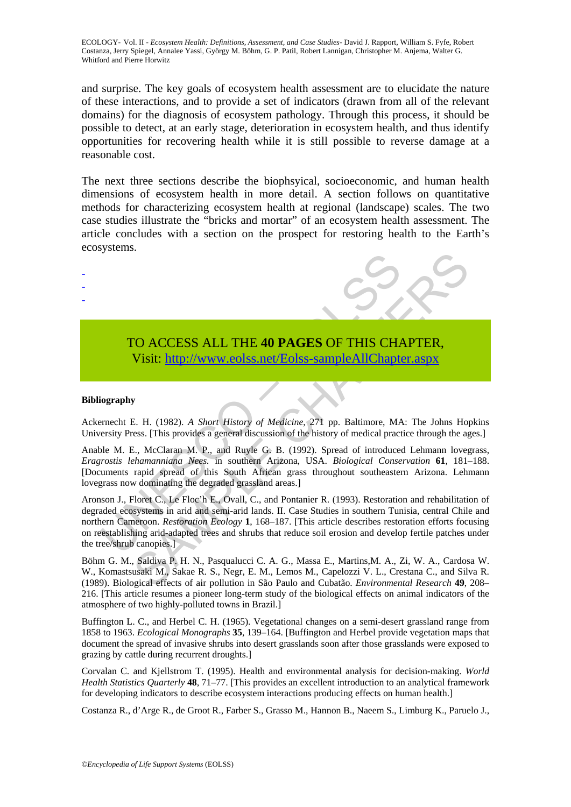and surprise. The key goals of ecosystem health assessment are to elucidate the nature of these interactions, and to provide a set of indicators (drawn from all of the relevant domains) for the diagnosis of ecosystem pathology. Through this process, it should be possible to detect, at an early stage, deterioration in ecosystem health, and thus identify opportunities for recovering health while it is still possible to reverse damage at a reasonable cost.

The next three sections describe the biophsyical, socioeconomic, and human health dimensions of ecosystem health in more detail. A section follows on quantitative methods for characterizing ecosystem health at regional (landscape) scales. The two case studies illustrate the "bricks and mortar" of an ecosystem health assessment. The article concludes with a section on the prospect for restoring health to the Earth's ecosystems.



# TO ACCESS ALL THE **40 PAGES** OF THIS CHAPTER, Visit: http://www.eolss.net/Eolss-sampleAllChapter.aspx

#### **Bibliography**

- - -

Ackernecht E. H. (1982). *A Short History of Medicine*, 271 pp. Baltimore, MA: The Johns Hopkins University Press. [This provides a general discussion of the history of medical practice through the ages.]

Anable M. E., McClaran M. P., and Ruyle G. B. (1992). Spread of introduced Lehmann lovegrass, *Eragrostis lehamanniana Nees.* in southern Arizona, USA. *Biological Conservation* **61**, 181–188. [Documents rapid spread of this South African grass throughout southeastern Arizona. Lehmann lovegrass now dominating the degraded grassland areas.]

TO ACCESS ALL THE 40 PAGES OF THIS CHA Visit: http://www.colss.net/Eolss-sampleAllChapte<br>
Visit: http://www.colss.net/Eolss-sampleAllChapte<br>
iography<br>
renecht E. H. (1982). A *Short History of Medicine*, 271 pp. Baltimore, TO ACCESS ALL THE 40 PAGES OF THIS CH[APT](https://www.eolss.net/ebooklib/sc_cart.aspx?File=E6-70-08-06)ER,<br>
Visit: http://www.colss.net/Eolss-sampleAllChapter.aspx<br>
F. H. (1982). A *Short History of Medicine*, 271 pp. Baltimore, MA: The Johns Hopes.<br>
E. H. (1982). A *Short History of* Aronson J., Floret C., Le Floc'h E., Ovall, C., and Pontanier R. (1993). Restoration and rehabilitation of degraded ecosystems in arid and semi-arid lands. II. Case Studies in southern Tunisia, central Chile and northern Cameroon. *Restoration Ecology* **1**, 168–187. [This article describes restoration efforts focusing on reestablishing arid-adapted trees and shrubs that reduce soil erosion and develop fertile patches under the tree/shrub canopies.]

Böhm G. M., Saldiva P. H. N., Pasqualucci C. A. G., Massa E., Martins,M. A., Zi, W. A., Cardosa W. W., Komastsusaki M., Sakae R. S., Negr, E. M., Lemos M., Capelozzi V. L., Crestana C., and Silva R. (1989). Biological effects of air pollution in São Paulo and Cubatão. *Environmental Research* **49**, 208– 216. [This article resumes a pioneer long-term study of the biological effects on animal indicators of the atmosphere of two highly-polluted towns in Brazil.]

Buffington L. C., and Herbel C. H. (1965). Vegetational changes on a semi-desert grassland range from 1858 to 1963. *Ecological Monographs* **35**, 139–164. [Buffington and Herbel provide vegetation maps that document the spread of invasive shrubs into desert grasslands soon after those grasslands were exposed to grazing by cattle during recurrent droughts.]

Corvalan C. and Kjellstrom T. (1995). Health and environmental analysis for decision-making. *World Health Statistics Quarterly* **48**, 71–77. [This provides an excellent introduction to an analytical framework for developing indicators to describe ecosystem interactions producing effects on human health.]

Costanza R., d'Arge R., de Groot R., Farber S., Grasso M., Hannon B., Naeem S., Limburg K., Paruelo J.,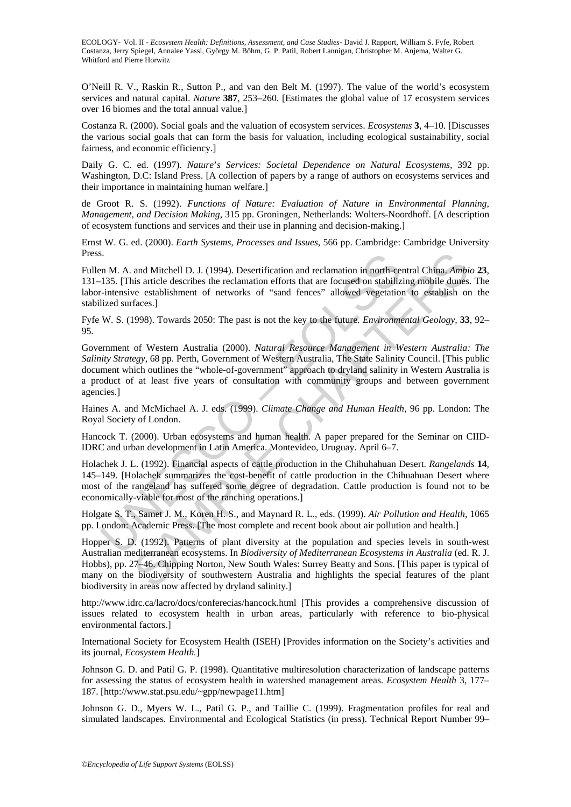O'Neill R. V., Raskin R., Sutton P., and van den Belt M. (1997). The value of the world's ecosystem services and natural capital. *Nature* **387**, 253–260. [Estimates the global value of 17 ecosystem services over 16 biomes and the total annual value.]

Costanza R. (2000). Social goals and the valuation of ecosystem services. *Ecosystems* **3**, 4–10. [Discusses the various social goals that can form the basis for valuation, including ecological sustainability, social fairness, and economic efficiency.]

Daily G. C. ed. (1997). *Nature*'*s Services: Societal Dependence on Natural Ecosystems,* 392 pp. Washington, D.C: Island Press. [A collection of papers by a range of authors on ecosystems services and their importance in maintaining human welfare.]

de Groot R. S. (1992). *Functions of Nature: Evaluation of Nature in Environmental Planning, Management, and Decision Making*, 315 pp. Groningen, Netherlands: Wolters-Noordhoff. [A description of ecosystem functions and services and their use in planning and decision-making.]

Ernst W. G. ed. (2000). *Earth Systems, Processes and Issues*, 566 pp. Cambridge: Cambridge University Press.

Fullen M. A. and Mitchell D. J. (1994). Desertification and reclamation in north-central China. *Ambio* **23**, 131–135. [This article describes the reclamation efforts that are focused on stabilizing mobile dunes. The labor-intensive establishment of networks of "sand fences" allowed vegetation to establish on the stabilized surfaces.]

Fyfe W. S. (1998). Towards 2050: The past is not the key to the future. *Environmental Geology,* **33**, 92– 95.

S.<br>
In M. A. and Mitchell D. J. (1994). Desertification and reclamation in north-ee<br>
1135. [This article describes the reclamation efforts that are focused on stabiliz-<br>
intensive establishment of networks of "sand fences" and Michell D. J. (1994). Desertification and reclamation in north-eentral China, *Ambi*<br>
is article describes the reclamation efforts that are focused on stabilizing mobile dunes<br>
we establishment of networks of "sand fe Government of Western Australia (2000). *Natural Resource Management in Western Australia: The Salinity Strategy*, 68 pp. Perth, Government of Western Australia, The State Salinity Council. [This public document which outlines the "whole-of-government" approach to dryland salinity in Western Australia is a product of at least five years of consultation with community groups and between government agencies.]

Haines A. and McMichael A. J. eds. (1999). *Climate Change and Human Health*, 96 pp. London: The Royal Society of London.

Hancock T. (2000). Urban ecosystems and human health. A paper prepared for the Seminar on CIID-IDRC and urban development in Latin America. Montevideo, Uruguay. April 6–7.

Holachek J. L. (1992). Financial aspects of cattle production in the Chihuhahuan Desert. *Rangelands* **14**, 145–149. [Holachek summarizes the cost-benefit of cattle production in the Chihuahuan Desert where most of the rangeland has suffered some degree of degradation. Cattle production is found not to be economically-viable for most of the ranching operations.]

Holgate S. T., Samet J. M., Koren H. S., and Maynard R. L., eds. (1999). *Air Pollution and Health*, 1065 pp. London: Academic Press. [The most complete and recent book about air pollution and health.]

Hopper S. D. (1992). Patterns of plant diversity at the population and species levels in south-west Australian mediterranean ecosystems. In *Biodiversity of Mediterranean Ecosystems in Australia* (ed. R. J. Hobbs), pp. 27–46. Chipping Norton, New South Wales: Surrey Beatty and Sons. [This paper is typical of many on the biodiversity of southwestern Australia and highlights the special features of the plant biodiversity in areas now affected by dryland salinity.]

http://www.idrc.ca/lacro/docs/conferecias/hancock.html [This provides a comprehensive discussion of issues related to ecosystem health in urban areas, particularly with reference to bio-physical environmental factors.]

International Society for Ecosystem Health (ISEH) [Provides information on the Society's activities and its journal, *Ecosystem Health.*]

Johnson G. D. and Patil G. P. (1998). Quantitative multiresolution characterization of landscape patterns for assessing the status of ecosystem health in watershed management areas. *Ecosystem Health* 3, 177– 187. [http://www.stat.psu.edu/~gpp/newpage11.htm]

Johnson G. D., Myers W. L., Patil G. P., and Taillie C. (1999). Fragmentation profiles for real and simulated landscapes. Environmental and Ecological Statistics (in press). Technical Report Number 99–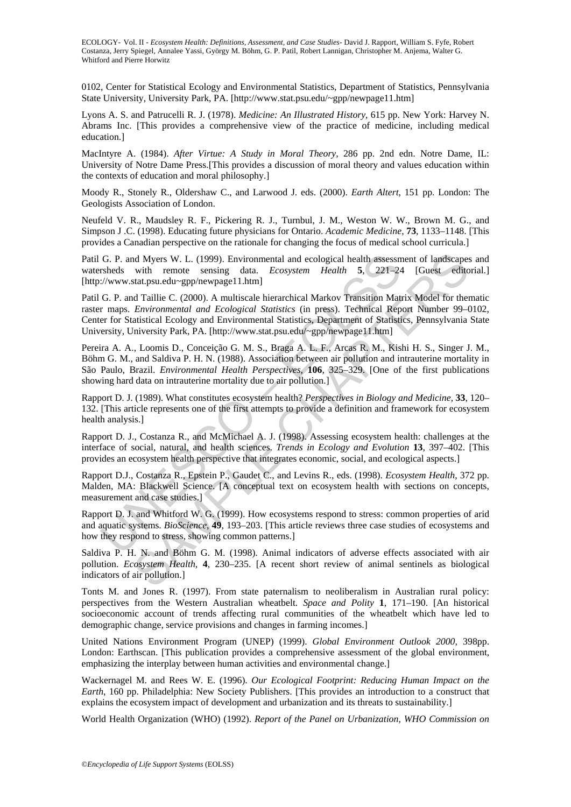0102, Center for Statistical Ecology and Environmental Statistics, Department of Statistics, Pennsylvania State University, University Park, PA. [http://www.stat.psu.edu/~gpp/newpage11.htm]

Lyons A. S. and Patrucelli R. J. (1978). *Medicine: An Illustrated History*, 615 pp. New York: Harvey N. Abrams Inc. [This provides a comprehensive view of the practice of medicine, including medical education.]

MacIntyre A. (1984). *After Virtue: A Study in Moral Theory*, 286 pp. 2nd edn. Notre Dame, IL: University of Notre Dame Press.[This provides a discussion of moral theory and values education within the contexts of education and moral philosophy.]

Moody R., Stonely R., Oldershaw C., and Larwood J. eds. (2000). *Earth Altert*, 151 pp. London: The Geologists Association of London.

Neufeld V. R., Maudsley R. F., Pickering R. J., Turnbul, J. M., Weston W. W., Brown M. G., and Simpson J .C. (1998). Educating future physicians for Ontario. *Academic Medicine,* **73**, 1133–1148. [This provides a Canadian perspective on the rationale for changing the focus of medical school curricula.]

Patil G. P. and Myers W. L. (1999). Environmental and ecological health assessment of landscapes and watersheds with remote sensing data. *Ecosystem Health* **5**, 221–24 [Guest editorial.] [http://www.stat.psu.edu~gpp/newpage11.htm]

G. P. and Myers W. L. (1999). Environmental and ecological health assessm<br>rsheds with remote sensing data. *Ecosystem Health* 5, 221–22///www.stat.psu.edu-epp/newpage11.htm] G. whitseles.  $20000$ . A multiscale hierarchica nd Myers W. L. (1999). Environmental and ecological health assessment of landscapes<br>with remote sensing data. *Ecosystem Health* 5, 221-24 [Guest edito<br>stat.psu.edu-gpp/newpage11.htm]<br>d Taillie C. (2000). A multiscale hier Patil G. P. and Taillie C. (2000). A multiscale hierarchical Markov Transition Matrix Model for thematic raster maps. *Environmental and Ecological Statistics* (in press). Technical Report Number 99–0102, Center for Statistical Ecology and Environmental Statistics, Department of Statistics, Pennsylvania State University, University Park, PA. [http://www.stat.psu.edu/~gpp/newpage11.htm]

Pereira A. A., Loomis D., Conceição G. M. S., Braga A. L. F., Arcas R. M., Kishi H. S., Singer J. M., Böhm G. M., and Saldiva P. H. N. (1988). Association between air pollution and intrauterine mortality in São Paulo, Brazil. *Environmental Health Perspectives,* **106**, 325–329. [One of the first publications showing hard data on intrauterine mortality due to air pollution.]

Rapport D. J. (1989). What constitutes ecosystem health? *Perspectives in Biology and Medicine,* **33**, 120– 132. [This article represents one of the first attempts to provide a definition and framework for ecosystem health analysis.]

Rapport D. J., Costanza R., and McMichael A. J. (1998). Assessing ecosystem health: challenges at the interface of social, natural, and health sciences. *Trends in Ecology and Evolution* **13**, 397–402. [This provides an ecosystem health perspective that integrates economic, social, and ecological aspects.]

Rapport D.J., Costanza R., Epstein P., Gaudet C., and Levins R., eds. (1998). *Ecosystem Health*, 372 pp. Malden, MA: Blackwell Science. [A conceptual text on ecosystem health with sections on concepts, measurement and case studies.]

Rapport D. J. and Whitford W. G. (1999). How ecosystems respond to stress: common properties of arid and aquatic systems. *BioScience,* **49**, 193–203. [This article reviews three case studies of ecosystems and how they respond to stress, showing common patterns.]

Saldiva P. H. N. and Böhm G. M. (1998). Animal indicators of adverse effects associated with air pollution. *Ecosystem Health,* **4**, 230–235. [A recent short review of animal sentinels as biological indicators of air pollution.]

Tonts M. and Jones R. (1997). From state paternalism to neoliberalism in Australian rural policy: perspectives from the Western Australian wheatbelt. *Space and Polity* **1**, 171–190. [An historical socioeconomic account of trends affecting rural communities of the wheatbelt which have led to demographic change, service provisions and changes in farming incomes.]

United Nations Environment Program (UNEP) (1999). *Global Environment Outlook 2000,* 398pp. London: Earthscan. [This publication provides a comprehensive assessment of the global environment, emphasizing the interplay between human activities and environmental change.]

Wackernagel M. and Rees W. E. (1996). *Our Ecological Footprint: Reducing Human Impact on the Earth*, 160 pp. Philadelphia: New Society Publishers. [This provides an introduction to a construct that explains the ecosystem impact of development and urbanization and its threats to sustainability.]

World Health Organization (WHO) (1992). *Report of the Panel on Urbanization, WHO Commission on*